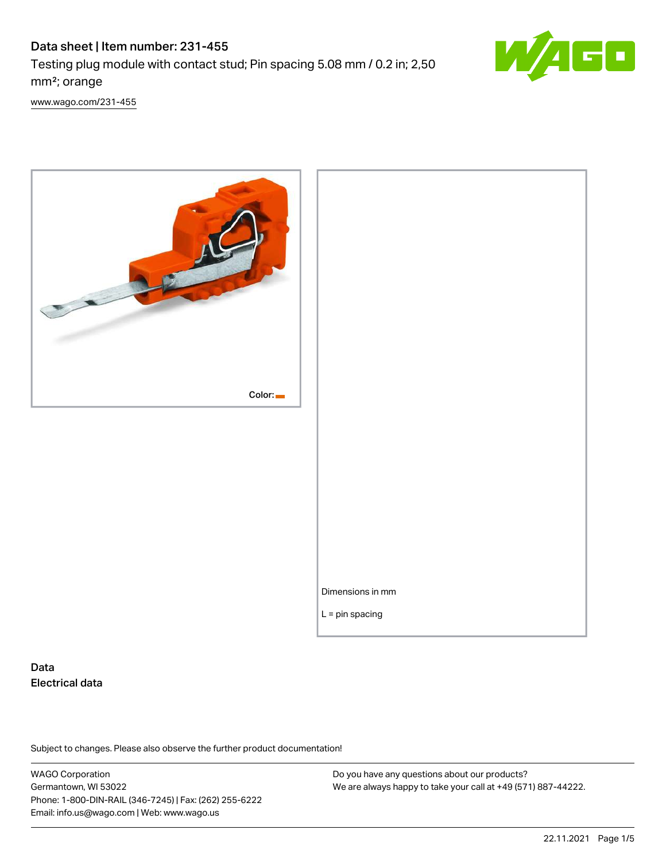# Data sheet | Item number: 231-455 Testing plug module with contact stud; Pin spacing 5.08 mm / 0.2 in; 2,50



[www.wago.com/231-455](http://www.wago.com/231-455)

mm²; orange



# Data Electrical data

Subject to changes. Please also observe the further product documentation!

WAGO Corporation Germantown, WI 53022 Phone: 1-800-DIN-RAIL (346-7245) | Fax: (262) 255-6222 Email: info.us@wago.com | Web: www.wago.us

Do you have any questions about our products? We are always happy to take your call at +49 (571) 887-44222.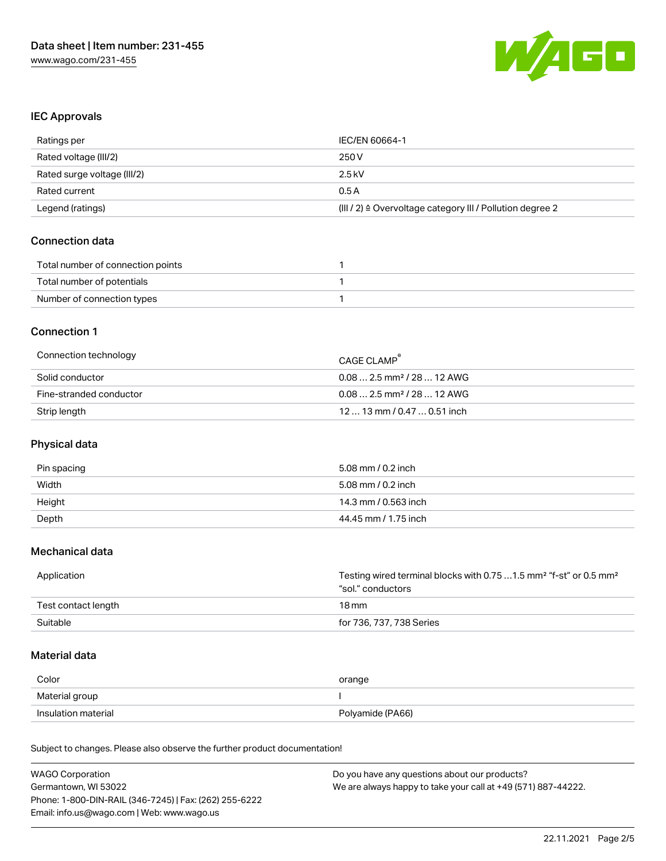

#### IEC Approvals

| Ratings per                 | IEC/EN 60664-1                                                        |
|-----------------------------|-----------------------------------------------------------------------|
| Rated voltage (III/2)       | 250 V                                                                 |
| Rated surge voltage (III/2) | $2.5$ kV                                                              |
| Rated current               | 0.5A                                                                  |
| Legend (ratings)            | $(III / 2)$ $\triangle$ Overvoltage category III / Pollution degree 2 |

# Connection data

| Total number of connection points |  |
|-----------------------------------|--|
| Total number of potentials        |  |
| Number of connection types        |  |

## Connection 1

| Connection technology   | CAGE CLAMP                             |
|-------------------------|----------------------------------------|
| Solid conductor         | $0.082.5$ mm <sup>2</sup> / 28  12 AWG |
| Fine-stranded conductor | $0.082.5$ mm <sup>2</sup> / 28  12 AWG |
| Strip length            | $1213$ mm $/$ 0.47 $$ 0.51 inch        |

# Physical data

| Pin spacing | 5.08 mm / 0.2 inch   |
|-------------|----------------------|
| Width       | 5.08 mm / 0.2 inch   |
| Height      | 14.3 mm / 0.563 inch |
| Depth       | 44.45 mm / 1.75 inch |

# Mechanical data

| Application         | Testing wired terminal blocks with 0.75  1.5 mm <sup>2</sup> "f-st" or 0.5 mm <sup>2</sup><br>"sol." conductors |
|---------------------|-----------------------------------------------------------------------------------------------------------------|
| Test contact length | 18 mm                                                                                                           |
| Suitable            | for 736, 737, 738 Series                                                                                        |

#### Material data

| Color               | orange           |
|---------------------|------------------|
| Material group      |                  |
| Insulation material | Polyamide (PA66) |

Subject to changes. Please also observe the further product documentation!

| <b>WAGO Corporation</b>                                | Do you have any questions about our products?                 |
|--------------------------------------------------------|---------------------------------------------------------------|
| Germantown, WI 53022                                   | We are always happy to take your call at +49 (571) 887-44222. |
| Phone: 1-800-DIN-RAIL (346-7245)   Fax: (262) 255-6222 |                                                               |
| Email: info.us@wago.com   Web: www.wago.us             |                                                               |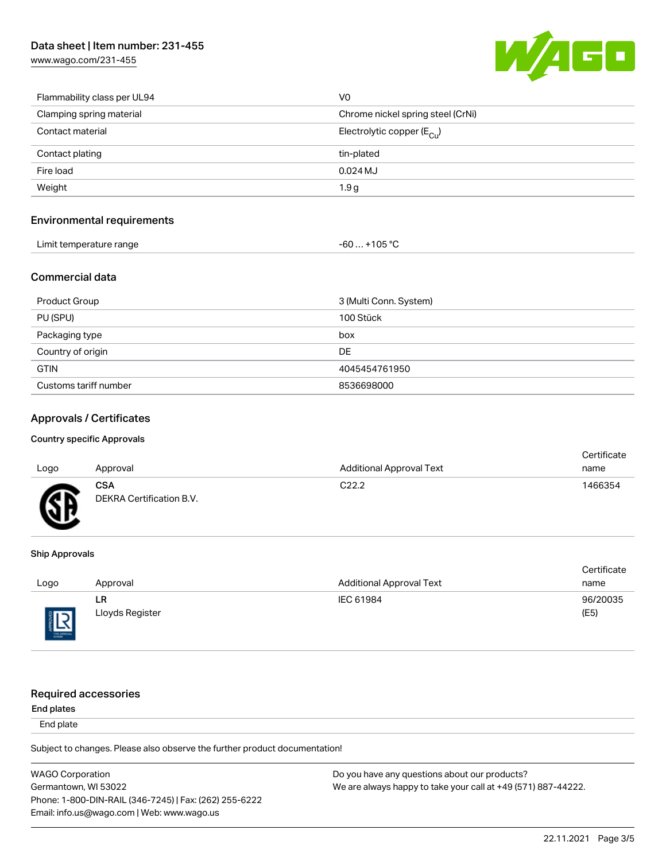# Data sheet | Item number: 231-455

[www.wago.com/231-455](http://www.wago.com/231-455)



| Flammability class per UL94 | V0                                      |
|-----------------------------|-----------------------------------------|
| Clamping spring material    | Chrome nickel spring steel (CrNi)       |
| Contact material            | Electrolytic copper ( $E_{\text{Cu}}$ ) |
| Contact plating             | tin-plated                              |
| Fire load                   | $0.024$ MJ                              |
| Weight                      | 1.9 <sub>g</sub>                        |

#### Environmental requirements

| Limit temperature range<br>ັ | 105 °C،<br>ົົ<br>-b0<br>___<br>___<br>$\sim$ |
|------------------------------|----------------------------------------------|
|------------------------------|----------------------------------------------|

# Commercial data

| Product Group         | 3 (Multi Conn. System) |
|-----------------------|------------------------|
| PU (SPU)              | 100 Stück              |
| Packaging type        | box                    |
| Country of origin     | DE                     |
| <b>GTIN</b>           | 4045454761950          |
| Customs tariff number | 8536698000             |

#### Approvals / Certificates

#### Country specific Approvals

| Logo    | Approval                               | <b>Additional Approval Text</b> | Certificate<br>name |
|---------|----------------------------------------|---------------------------------|---------------------|
| Æ<br>سع | <b>CSA</b><br>DEKRA Certification B.V. | C <sub>22.2</sub>               | 1466354             |

#### Ship Approvals

|                    |                 |                                 | Certificate |
|--------------------|-----------------|---------------------------------|-------------|
| Logo               | Approval        | <b>Additional Approval Text</b> | name        |
|                    | LR              | IEC 61984                       | 96/20035    |
| 旧<br>$\frac{1}{2}$ | Lloyds Register |                                 | (E5)        |

## Required accessories

End plates

End plate

Subject to changes. Please also observe the further product documentation!

| <b>WAGO Corporation</b>                                | Do you have any questions about our products?                 |
|--------------------------------------------------------|---------------------------------------------------------------|
| Germantown, WI 53022                                   | We are always happy to take your call at +49 (571) 887-44222. |
| Phone: 1-800-DIN-RAIL (346-7245)   Fax: (262) 255-6222 |                                                               |
| Email: info.us@wago.com   Web: www.wago.us             |                                                               |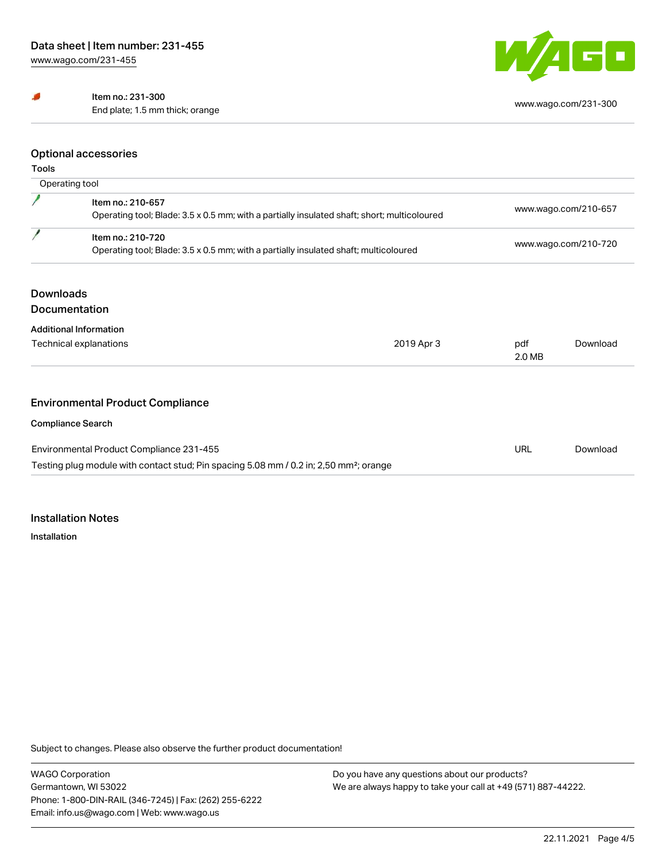#### Item no.: 231-300

End plate; 1.5 mm thick; orange [www.wago.com/231-300](http://www.wago.com/231-300)



# Optional accessories

Tools

|                  | Operating tool                                                                                                   |               |                      |  |
|------------------|------------------------------------------------------------------------------------------------------------------|---------------|----------------------|--|
|                  | Item no.: 210-657<br>Operating tool; Blade: 3.5 x 0.5 mm; with a partially insulated shaft; short; multicoloured |               | www.wago.com/210-657 |  |
|                  | Item no.: 210-720<br>Operating tool; Blade: 3.5 x 0.5 mm; with a partially insulated shaft; multicoloured        |               | www.wago.com/210-720 |  |
| <b>Downloads</b> | <b>Documentation</b>                                                                                             |               |                      |  |
|                  | <b>Additional Information</b>                                                                                    |               |                      |  |
|                  | Technical explanations<br>2019 Apr 3                                                                             | pdf<br>2.0 MB | Download             |  |
|                  |                                                                                                                  |               |                      |  |
|                  | <b>Environmental Product Compliance</b>                                                                          |               |                      |  |
|                  | <b>Compliance Search</b>                                                                                         |               |                      |  |
|                  | Environmental Product Compliance 231-455                                                                         | URL           | Download             |  |
|                  | Testing plug module with contact stud; Pin spacing 5.08 mm / 0.2 in; 2,50 mm <sup>2</sup> ; orange               |               |                      |  |

#### Installation Notes

Installation

Subject to changes. Please also observe the further product documentation!

Do you have any questions about our products? We are always happy to take your call at +49 (571) 887-44222.